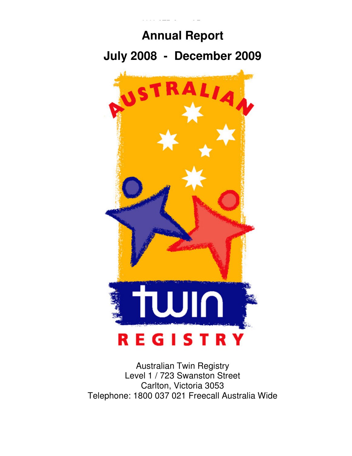

Australian Twin Registry Level 1 / 723 Swanston Street Carlton, Victoria 3053 Telephone: 1800 037 021 Freecall Australia Wide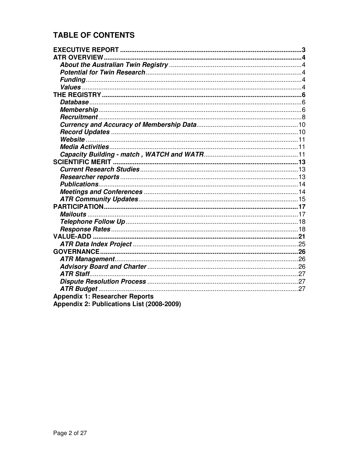# **TABLE OF CONTENTS**

| <b>Appendix 1: Researcher Reports</b>     |  |
|-------------------------------------------|--|
| Appendix 2: Publications List (2008-2009) |  |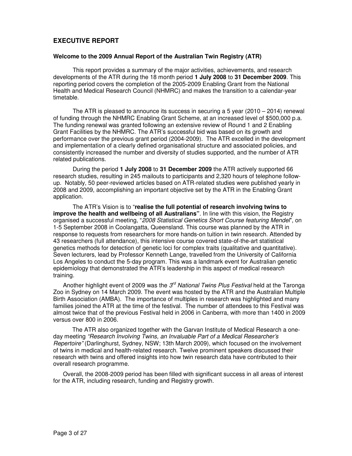# **EXECUTIVE REPORT**

### **Welcome to the 2009 Annual Report of the Australian Twin Registry (ATR)**

This report provides a summary of the major activities, achievements, and research developments of the ATR during the 18 month period **1 July 2008** to **31 December 2009**. This reporting period covers the completion of the 2005-2009 Enabling Grant from the National Health and Medical Research Council (NHMRC) and makes the transition to a calendar-year timetable.

The ATR is pleased to announce its success in securing a 5 year (2010 – 2014) renewal of funding through the NHMRC Enabling Grant Scheme, at an increased level of \$500,000 p.a. The funding renewal was granted following an extensive review of Round 1 and 2 Enabling Grant Facilities by the NHMRC. The ATR's successful bid was based on its growth and performance over the previous grant period (2004-2009). The ATR excelled in the development and implementation of a clearly defined organisational structure and associated policies, and consistently increased the number and diversity of studies supported, and the number of ATR related publications.

 During the period **1 July 2008** to **31 December 2009** the ATR actively supported 66 research studies, resulting in 245 mailouts to participants and 2,320 hours of telephone followup. Notably, 50 peer-reviewed articles based on ATR-related studies were published yearly in 2008 and 2009, accomplishing an important objective set by the ATR in the Enabling Grant application.

 The ATR's Vision is to "**realise the full potential of research involving twins to improve the health and wellbeing of all Australians"**. In line with this vision, the Registry organised a successful meeting, "2008 Statistical Genetics Short Course featuring Mendel", on 1-5 September 2008 in Coolangatta, Queensland. This course was planned by the ATR in response to requests from researchers for more hands-on tuition in twin research. Attended by 43 researchers (full attendance), this intensive course covered state-of-the-art statistical genetics methods for detection of genetic loci for complex traits (qualitative and quantitative). Seven lecturers, lead by Professor Kenneth Lange, travelled from the University of California Los Angeles to conduct the 5-day program. This was a landmark event for Australian genetic epidemiology that demonstrated the ATR's leadership in this aspect of medical research training.

Another highlight event of 2009 was the  $3^{\prime\prime}$  National Twins Plus Festival held at the Taronga Zoo in Sydney on 14 March 2009. The event was hosted by the ATR and the Australian Multiple Birth Association (AMBA). The importance of multiples in research was highlighted and many families joined the ATR at the time of the festival. The number of attendees to this Festival was almost twice that of the previous Festival held in 2006 in Canberra, with more than 1400 in 2009 versus over 800 in 2006.

The ATR also organized together with the Garvan Institute of Medical Research a oneday meeting "Research Involving Twins, an Invaluable Part of a Medical Researcher's Repertoire" (Darlinghurst, Sydney, NSW; 13th March 2009), which focused on the involvement of twins in medical and health-related research. Twelve prominent speakers discussed their research with twins and offered insights into how twin research data have contributed to their overall research programme.

Overall, the 2008-2009 period has been filled with significant success in all areas of interest for the ATR, including research, funding and Registry growth.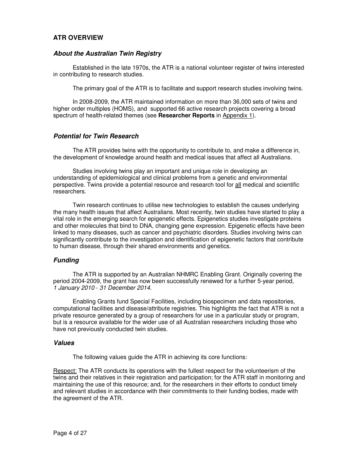# **ATR OVERVIEW**

### **About the Australian Twin Registry**

Established in the late 1970s, the ATR is a national volunteer register of twins interested in contributing to research studies.

The primary goal of the ATR is to facilitate and support research studies involving twins.

In 2008-2009, the ATR maintained information on more than 36,000 sets of twins and higher order multiples (HOMS), and supported 66 active research projects covering a broad spectrum of health-related themes (see **Researcher Reports** in Appendix 1).

### **Potential for Twin Research**

The ATR provides twins with the opportunity to contribute to, and make a difference in, the development of knowledge around health and medical issues that affect all Australians.

Studies involving twins play an important and unique role in developing an understanding of epidemiological and clinical problems from a genetic and environmental perspective. Twins provide a potential resource and research tool for all medical and scientific researchers.

Twin research continues to utilise new technologies to establish the causes underlying the many health issues that affect Australians. Most recently, twin studies have started to play a vital role in the emerging search for epigenetic effects. Epigenetics studies investigate proteins and other molecules that bind to DNA, changing gene expression. Epigenetic effects have been linked to many diseases, such as cancer and psychiatric disorders. Studies involving twins can significantly contribute to the investigation and identification of epigenetic factors that contribute to human disease, through their shared environments and genetics.

#### **Funding**

The ATR is supported by an Australian NHMRC Enabling Grant. Originally covering the period 2004-2009, the grant has now been successfully renewed for a further 5-year period, 1 January 2010 - 31 December 2014.

Enabling Grants fund Special Facilities, including biospecimen and data repositories, computational facilities and disease/attribute registries. This highlights the fact that ATR is not a private resource generated by a group of researchers for use in a particular study or program, but is a resource available for the wider use of all Australian researchers including those who have not previously conducted twin studies.

### **Values**

The following values guide the ATR in achieving its core functions:

Respect: The ATR conducts its operations with the fullest respect for the volunteerism of the twins and their relatives in their registration and participation; for the ATR staff in monitoring and maintaining the use of this resource; and, for the researchers in their efforts to conduct timely and relevant studies in accordance with their commitments to their funding bodies, made with the agreement of the ATR.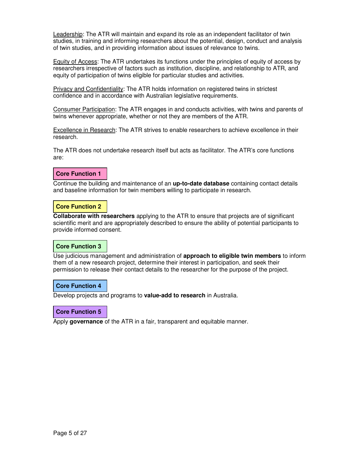Leadership: The ATR will maintain and expand its role as an independent facilitator of twin studies, in training and informing researchers about the potential, design, conduct and analysis of twin studies, and in providing information about issues of relevance to twins.

Equity of Access: The ATR undertakes its functions under the principles of equity of access by researchers irrespective of factors such as institution, discipline, and relationship to ATR, and equity of participation of twins eligible for particular studies and activities.

Privacy and Confidentiality: The ATR holds information on registered twins in strictest confidence and in accordance with Australian legislative requirements.

Consumer Participation: The ATR engages in and conducts activities, with twins and parents of twins whenever appropriate, whether or not they are members of the ATR.

**Excellence in Research:** The ATR strives to enable researchers to achieve excellence in their research.

The ATR does not undertake research itself but acts as facilitator. The ATR's core functions are:

### **Core Function 1**

Continue the building and maintenance of an **up-to-date database** containing contact details and baseline information for twin members willing to participate in research.

#### **Core Function 2**

**Collaborate with researchers** applying to the ATR to ensure that projects are of significant scientific merit and are appropriately described to ensure the ability of potential participants to provide informed consent.

#### **Core Function 3**

Use judicious management and administration of **approach to eligible twin members** to inform them of a new research project, determine their interest in participation, and seek their permission to release their contact details to the researcher for the purpose of the project.

### **Core Function 4**

Develop projects and programs to **value-add to research** in Australia.

#### **Core Function 5**

Apply **governance** of the ATR in a fair, transparent and equitable manner.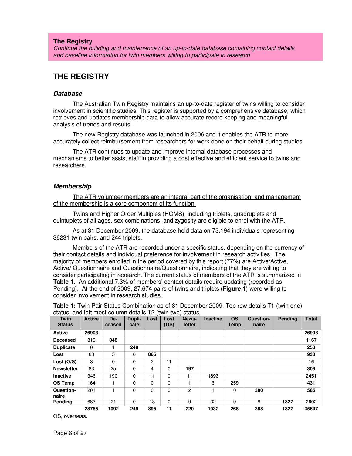#### **The Registry**

Continue the building and maintenance of an up-to-date database containing contact details and baseline information for twin members willing to participate in research

# **THE REGISTRY**

#### **Database**

The Australian Twin Registry maintains an up-to-date register of twins willing to consider involvement in scientific studies. This register is supported by a comprehensive database, which retrieves and updates membership data to allow accurate record keeping and meaningful analysis of trends and results.

The new Registry database was launched in 2006 and it enables the ATR to more accurately collect reimbursement from researchers for work done on their behalf during studies.

The ATR continues to update and improve internal database processes and mechanisms to better assist staff in providing a cost effective and efficient service to twins and researchers.

#### **Membership**

The ATR volunteer members are an integral part of the organisation, and management of the membership is a core component of its function.

Twins and Higher Order Multiples (HOMS), including triplets, quadruplets and quintuplets of all ages, sex combinations, and zygosity are eligible to enrol with the ATR.

As at 31 December 2009, the database held data on 73,194 individuals representing 36231 twin pairs, and 244 triplets.

Members of the ATR are recorded under a specific status, depending on the currency of their contact details and individual preference for involvement in research activities. The majority of members enrolled in the period covered by this report (77%) are Active/Active, Active/ Questionnaire and Questionnaire/Questionnaire, indicating that they are willing to consider participating in research. The current status of members of the ATR is summarized in **Table 1**. An additional 7.3% of members' contact details require updating (recorded as Pending). At the end of 2009, 27,674 pairs of twins and triplets (**Figure 1**) were willing to consider involvement in research studies.

| <b>Twin</b><br><b>Status</b> | <b>Active</b> | De-<br>ceased | Dupli-<br>cate | Lost           | Lost<br>(OS) | News-<br>letter | <b>Inactive</b> | <b>OS</b><br>Temp | Question-<br>naire | <b>Pending</b> | <b>Total</b> |
|------------------------------|---------------|---------------|----------------|----------------|--------------|-----------------|-----------------|-------------------|--------------------|----------------|--------------|
| <b>Active</b>                | 26903         |               |                |                |              |                 |                 |                   |                    |                | 26903        |
| <b>Deceased</b>              | 319           | 848           |                |                |              |                 |                 |                   |                    |                | 1167         |
| <b>Duplicate</b>             | 0             |               | 249            |                |              |                 |                 |                   |                    |                | 250          |
| Lost                         | 63            | 5             | 0              | 865            |              |                 |                 |                   |                    |                | 933          |
| Lost $(O/S)$                 | 3             | 0             | 0              | $\overline{2}$ | 11           |                 |                 |                   |                    |                | 16           |
| <b>Newsletter</b>            | 83            | 25            | 0              | 4              | $\Omega$     | 197             |                 |                   |                    |                | 309          |
| <b>Inactive</b>              | 346           | 190           | 0              | 11             | $\Omega$     | 11              | 1893            |                   |                    |                | 2451         |
| <b>OS Temp</b>               | 164           |               | 0              | $\Omega$       | $\Omega$     |                 | 6               | 259               |                    |                | 431          |
| Question-<br>naire           | 201           |               | 0              | 0              | $\mathbf 0$  | 2               |                 | $\Omega$          | 380                |                | 585          |
| Pending                      | 683           | 21            | $\Omega$       | 13             | $\Omega$     | 9               | 32              | 9                 | 8                  | 1827           | 2602         |
|                              | 28765         | 1092          | 249            | 895            | 11           | 220             | 1932            | 268               | 388                | 1827           | 35647        |

**Table 1:** Twin Pair Status Combination as of 31 December 2009. Top row details T1 (twin one) status, and left most column details T2 (twin two) status.

OS, overseas.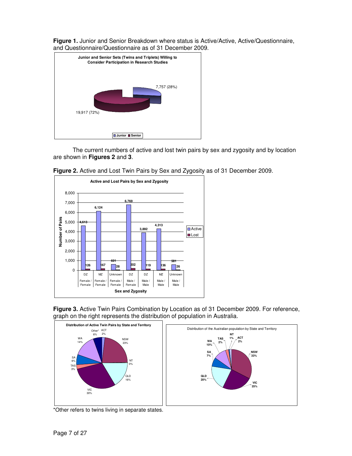**Figure 1.** Junior and Senior Breakdown where status is Active/Active, Active/Questionnaire, and Questionnaire/Questionnaire as of 31 December 2009.



The current numbers of active and lost twin pairs by sex and zygosity and by location are shown in **Figures 2** and **3**.









\*Other refers to twins living in separate states.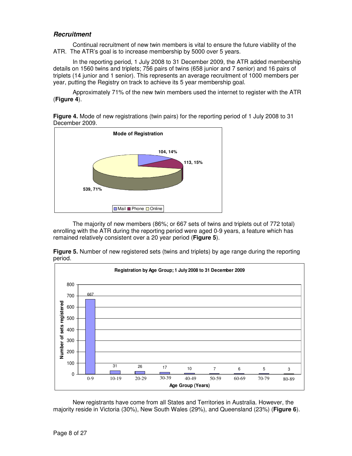## **Recruitment**

Continual recruitment of new twin members is vital to ensure the future viability of the ATR. The ATR's goal is to increase membership by 5000 over 5 years.

In the reporting period, 1 July 2008 to 31 December 2009, the ATR added membership details on 1560 twins and triplets; 756 pairs of twins (658 junior and 7 senior) and 16 pairs of triplets (14 junior and 1 senior). This represents an average recruitment of 1000 members per year, putting the Registry on track to achieve its 5 year membership goal.

Approximately 71% of the new twin members used the internet to register with the ATR (**Figure 4**).

**Figure 4.** Mode of new registrations (twin pairs) for the reporting period of 1 July 2008 to 31 December 2009.



The majority of new members (86%; or 667 sets of twins and triplets out of 772 total) enrolling with the ATR during the reporting period were aged 0-9 years, a feature which has remained relatively consistent over a 20 year period (**Figure 5**).



**Figure 5.** Number of new registered sets (twins and triplets) by age range during the reporting period.

New registrants have come from all States and Territories in Australia. However, the majority reside in Victoria (30%), New South Wales (29%), and Queensland (23%) (**Figure 6**).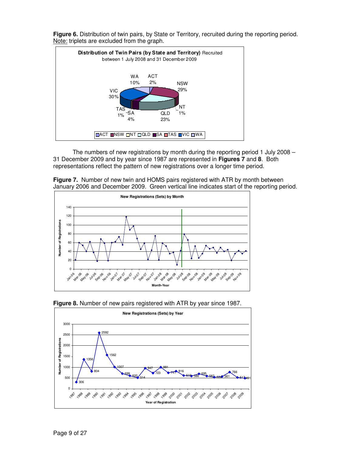

**Figure 6.** Distribution of twin pairs, by State or Territory, recruited during the reporting period. Note: triplets are excluded from the graph.

The numbers of new registrations by month during the reporting period 1 July 2008 – 31 December 2009 and by year since 1987 are represented in **Figures 7** and **8**. Both representations reflect the pattern of new registrations over a longer time period.







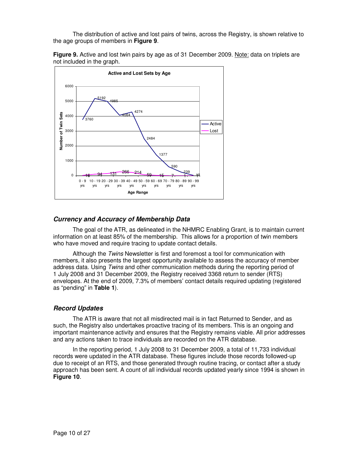The distribution of active and lost pairs of twins, across the Registry, is shown relative to the age groups of members in **Figure 9**.





### **Currency and Accuracy of Membership Data**

The goal of the ATR, as delineated in the NHMRC Enabling Grant, is to maintain current information on at least 85% of the membership. This allows for a proportion of twin members who have moved and require tracing to update contact details.

Although the Twins Newsletter is first and foremost a tool for communication with members, it also presents the largest opportunity available to assess the accuracy of member address data. Using Twins and other communication methods during the reporting period of 1 July 2008 and 31 December 2009, the Registry received 3368 return to sender (RTS) envelopes. At the end of 2009, 7.3% of members' contact details required updating (registered as "pending" in **Table 1**).

### **Record Updates**

The ATR is aware that not all misdirected mail is in fact Returned to Sender, and as such, the Registry also undertakes proactive tracing of its members. This is an ongoing and important maintenance activity and ensures that the Registry remains viable. All prior addresses and any actions taken to trace individuals are recorded on the ATR database.

In the reporting period, 1 July 2008 to 31 December 2009, a total of 11,733 individual records were updated in the ATR database. These figures include those records followed-up due to receipt of an RTS, and those generated through routine tracing, or contact after a study approach has been sent. A count of all individual records updated yearly since 1994 is shown in **Figure 10**.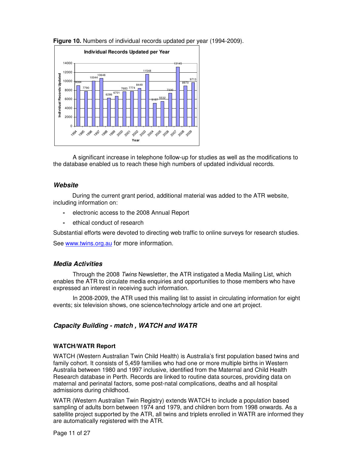

**Figure 10.** Numbers of individual records updated per year (1994-2009).

A significant increase in telephone follow-up for studies as well as the modifications to the database enabled us to reach these high numbers of updated individual records.

### **Website**

During the current grant period, additional material was added to the ATR website, including information on:

- electronic access to the 2008 Annual Report
- ethical conduct of research

Substantial efforts were devoted to directing web traffic to online surveys for research studies.

See www.twins.org.au for more information.

### **Media Activities**

Through the 2008 Twins Newsletter, the ATR instigated a Media Mailing List, which enables the ATR to circulate media enquiries and opportunities to those members who have expressed an interest in receiving such information.

In 2008-2009, the ATR used this mailing list to assist in circulating information for eight events; six television shows, one science/technology article and one art project.

# **Capacity Building - match , WATCH and WATR**

#### **WATCH/WATR Report**

WATCH (Western Australian Twin Child Health) is Australia's first population based twins and family cohort. It consists of 5,459 families who had one or more multiple births in Western Australia between 1980 and 1997 inclusive, identified from the Maternal and Child Health Research database in Perth. Records are linked to routine data sources, providing data on maternal and perinatal factors, some post-natal complications, deaths and all hospital admissions during childhood.

WATR (Western Australian Twin Registry) extends WATCH to include a population based sampling of adults born between 1974 and 1979, and children born from 1998 onwards. As a satellite project supported by the ATR, all twins and triplets enrolled in WATR are informed they are automatically registered with the ATR.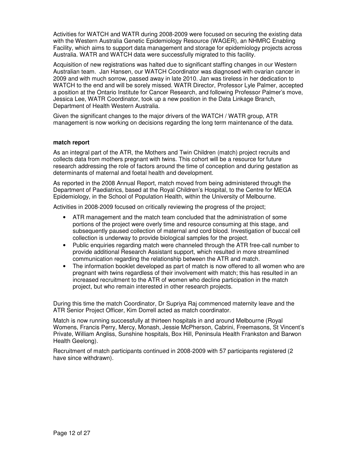Activities for WATCH and WATR during 2008-2009 were focused on securing the existing data with the Western Australia Genetic Epidemiology Resource (WAGER), an NHMRC Enabling Facility, which aims to support data management and storage for epidemiology projects across Australia. WATR and WATCH data were successfully migrated to this facility.

Acquisition of new registrations was halted due to significant staffing changes in our Western Australian team. Jan Hansen, our WATCH Coordinator was diagnosed with ovarian cancer in 2009 and with much sorrow, passed away in late 2010. Jan was tireless in her dedication to WATCH to the end and will be sorely missed. WATR Director, Professor Lyle Palmer, accepted a position at the Ontario Institute for Cancer Research, and following Professor Palmer's move, Jessica Lee, WATR Coordinator, took up a new position in the Data Linkage Branch, Department of Health Western Australia.

Given the significant changes to the major drivers of the WATCH / WATR group, ATR management is now working on decisions regarding the long term maintenance of the data.

### **match report**

As an integral part of the ATR, the Mothers and Twin Children (match) project recruits and collects data from mothers pregnant with twins. This cohort will be a resource for future research addressing the role of factors around the time of conception and during gestation as determinants of maternal and foetal health and development.

As reported in the 2008 Annual Report, match moved from being administered through the Department of Paediatrics, based at the Royal Children's Hospital, to the Centre for MEGA Epidemiology, in the School of Population Health, within the University of Melbourne.

Activities in 2008-2009 focused on critically reviewing the progress of the project;

- ATR management and the match team concluded that the administration of some portions of the project were overly time and resource consuming at this stage, and subsequently paused collection of maternal and cord blood. Investigation of buccal cell collection is underway to provide biological samples for the project.
- Public enquiries regarding match were channeled through the ATR free-call number to provide additional Research Assistant support, which resulted in more streamlined communication regarding the relationship between the ATR and match.
- The information booklet developed as part of match is now offered to all women who are pregnant with twins regardless of their involvement with match; this has resulted in an increased recruitment to the ATR of women who decline participation in the match project, but who remain interested in other research projects.

During this time the match Coordinator, Dr Supriya Raj commenced maternity leave and the ATR Senior Project Officer, Kim Dorrell acted as match coordinator.

Match is now running successfully at thirteen hospitals in and around Melbourne (Royal Womens, Francis Perry, Mercy, Monash, Jessie McPherson, Cabrini, Freemasons, St Vincent's Private, William Angliss, Sunshine hospitals, Box Hill, Peninsula Health Frankston and Barwon Health Geelong).

Recruitment of match participants continued in 2008-2009 with 57 participants registered (2 have since withdrawn).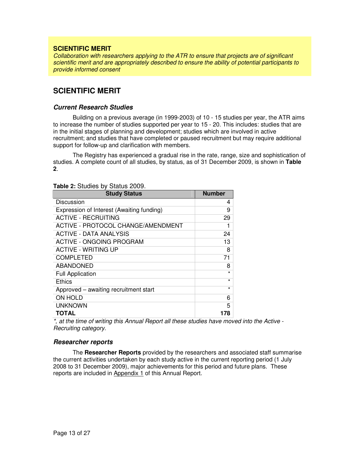## **SCIENTIFIC MERIT**

Collaboration with researchers applying to the ATR to ensure that projects are of significant scientific merit and are appropriately described to ensure the ability of potential participants to provide informed consent

# **SCIENTIFIC MERIT**

### **Current Research Studies**

Building on a previous average (in 1999-2003) of 10 - 15 studies per year, the ATR aims to increase the number of studies supported per year to 15 - 20. This includes: studies that are in the initial stages of planning and development; studies which are involved in active recruitment; and studies that have completed or paused recruitment but may require additional support for follow-up and clarification with members.

The Registry has experienced a gradual rise in the rate, range, size and sophistication of studies. A complete count of all studies, by status, as of 31 December 2009, is shown in **Table 2**.

| <b>Study Status</b>                       | <b>Number</b> |
|-------------------------------------------|---------------|
| Discussion                                | 4             |
| Expression of Interest (Awaiting funding) | 9             |
| <b>ACTIVE - RECRUITING</b>                | 29            |
| ACTIVE - PROTOCOL CHANGE/AMENDMENT        |               |
| ACTIVE - DATA ANALYSIS                    | 24            |
| <b>ACTIVE - ONGOING PROGRAM</b>           | 13            |
| <b>ACTIVE - WRITING UP</b>                | 8             |
| <b>COMPLETED</b>                          | 71            |
| <b>ABANDONED</b>                          | 8             |
| <b>Full Application</b>                   | *             |
| Ethics                                    | *             |
| Approved - awaiting recruitment start     | $\star$       |
| <b>ON HOLD</b>                            | 6             |
| <b>UNKNOWN</b>                            | 5             |
| TOTAL                                     | 178           |

#### **Table 2:** Studies by Status 2009.

\*, at the time of writing this Annual Report all these studies have moved into the Active - Recruiting category.

#### **Researcher reports**

The **Researcher Reports** provided by the researchers and associated staff summarise the current activities undertaken by each study active in the current reporting period (1 July 2008 to 31 December 2009), major achievements for this period and future plans. These reports are included in Appendix 1 of this Annual Report.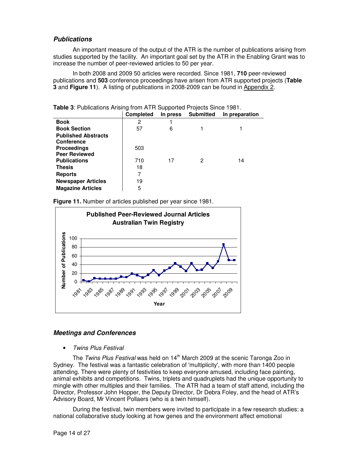# **Publications**

An important measure of the output of the ATR is the number of publications arising from studies supported by the facility. An important goal set by the ATR in the Enabling Grant was to increase the number of peer-reviewed articles to 50 per year.

In both 2008 and 2009 50 articles were recorded. Since 1981, **710** peer-reviewed publications and **503** conference proceedings have arisen from ATR supported projects (**Table 3** and **Figure 11**). A listing of publications in 2008-2009 can be found in Appendix 2.

|                            | <b>Completed</b> | In press | <b>Submitted</b> | In preparation |
|----------------------------|------------------|----------|------------------|----------------|
| <b>Book</b>                | 2                |          |                  |                |
| <b>Book Section</b>        | 57               | 6        |                  |                |
| <b>Published Abstracts</b> |                  |          |                  |                |
| <b>Conference</b>          |                  |          |                  |                |
| <b>Proceedings</b>         | 503              |          |                  |                |
| <b>Peer Reviewed</b>       |                  |          |                  |                |
| <b>Publications</b>        | 710              | 17       | 2                | 14             |
| <b>Thesis</b>              | 18               |          |                  |                |
| <b>Reports</b>             |                  |          |                  |                |
| <b>Newspaper Articles</b>  | 19               |          |                  |                |
| <b>Magazine Articles</b>   | 5                |          |                  |                |

**Table 3**: Publications Arising from ATR Supported Projects Since 1981.

**Figure 11.** Number of articles published per year since 1981.



# **Meetings and Conferences**

### • Twins Plus Festival

The Twins Plus Festival was held on  $14<sup>th</sup>$  March 2009 at the scenic Taronga Zoo in Sydney. The festival was a fantastic celebration of 'multiplicity', with more than 1400 people attending. There were plenty of festivities to keep everyone amused, including face painting, animal exhibits and competitions. Twins, triplets and quadruplets had the unique opportunity to mingle with other multiples and their families. The ATR had a team of staff attend, including the Director, Professor John Hopper, the Deputy Director, Dr Debra Foley, and the head of ATR's Advisory Board, Mr Vincent Pollaers (who is a twin himself).

During the festival, twin members were invited to participate in a few research studies: a national collaborative study looking at how genes and the environment affect emotional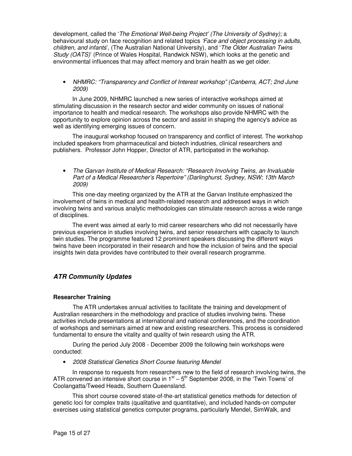development, called the 'The Emotional Well-being Project' (The University of Sydney); a behavioural study on face recognition and related topics 'Face and object processing in adults, children, and infants', (The Australian National University), and 'The Older Australian Twins Study (OATS)' (Prince of Wales Hospital, Randwick NSW), which looks at the genetic and environmental influences that may affect memory and brain health as we get older.

• NHMRC: "Transparency and Conflict of Interest workshop" (Canberra, ACT; 2nd June 2009)

In June 2009, NHMRC launched a new series of interactive workshops aimed at stimulating discussion in the research sector and wider community on issues of national importance to health and medical research. The workshops also provide NHMRC with the opportunity to explore opinion across the sector and assist in shaping the agency's advice as well as identifying emerging issues of concern.

The inaugural workshop focused on transparency and conflict of interest. The workshop included speakers from pharmaceutical and biotech industries, clinical researchers and publishers. Professor John Hopper, Director of ATR, participated in the workshop.

• The Garvan Institute of Medical Research: "Research Involving Twins, an Invaluable Part of a Medical Researcher's Repertoire" (Darlinghurst, Sydney, NSW; 13th March 2009)

This one-day meeting organized by the ATR at the Garvan Institute emphasized the involvement of twins in medical and health-related research and addressed ways in which involving twins and various analytic methodologies can stimulate research across a wide range of disciplines.

The event was aimed at early to mid career researchers who did not necessarily have previous experience in studies involving twins, and senior researchers with capacity to launch twin studies. The programme featured 12 prominent speakers discussing the different ways twins have been incorporated in their research and how the inclusion of twins and the special insights twin data provides have contributed to their overall research programme.

# **ATR Community Updates**

### **Researcher Training**

The ATR undertakes annual activities to facilitate the training and development of Australian researchers in the methodology and practice of studies involving twins. These activities include presentations at international and national conferences, and the coordination of workshops and seminars aimed at new and existing researchers. This process is considered fundamental to ensure the vitality and quality of twin research using the ATR.

During the period July 2008 - December 2009 the following twin workshops were conducted:

• 2008 Statistical Genetics Short Course featuring Mendel

In response to requests from researchers new to the field of research involving twins, the ATR convened an intensive short course in  $1<sup>st</sup> - 5<sup>th</sup>$  September 2008, in the 'Twin Towns' of Coolangatta/Tweed Heads, Southern Queensland.

This short course covered state-of-the-art statistical genetics methods for detection of genetic loci for complex traits (qualitative and quantitative), and included hands-on computer exercises using statistical genetics computer programs, particularly Mendel, SimWalk, and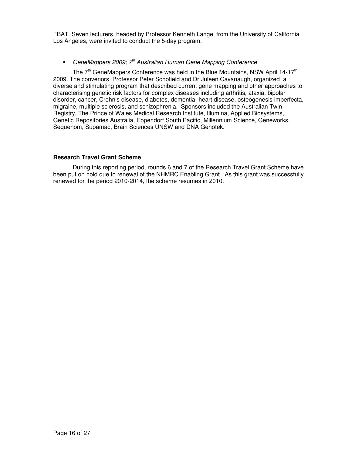FBAT. Seven lecturers, headed by Professor Kenneth Lange, from the University of California Los Angeles, were invited to conduct the 5-day program.

# • GeneMappers 2009;  $7<sup>th</sup>$  Australian Human Gene Mapping Conference

The  $7<sup>th</sup>$  GeneMappers Conference was held in the Blue Mountains, NSW April 14-17<sup>th</sup> 2009. The convenors, Professor Peter Schofield and Dr Juleen Cavanaugh, organized a diverse and stimulating program that described current gene mapping and other approaches to characterising genetic risk factors for complex diseases including arthritis, ataxia, bipolar disorder, cancer, Crohn's disease, diabetes, dementia, heart disease, osteogenesis imperfecta, migraine, multiple sclerosis, and schizophrenia. Sponsors included the Australian Twin Registry, The Prince of Wales Medical Research Institute, Illumina, Applied Biosystems, Genetic Repositories Australia, Eppendorf South Pacific, Millennium Science, Geneworks, Sequenom, Supamac, Brain Sciences UNSW and DNA Genotek.

### **Research Travel Grant Scheme**

 During this reporting period, rounds 6 and 7 of the Research Travel Grant Scheme have been put on hold due to renewal of the NHMRC Enabling Grant. As this grant was successfully renewed for the period 2010-2014, the scheme resumes in 2010.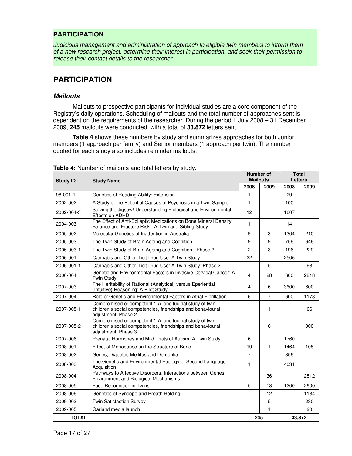# **PARTICIPATION**

Judicious management and administration of approach to eligible twin members to inform them of a new research project, determine their interest in participation, and seek their permission to release their contact details to the researcher

# **PARTICIPATION**

## **Mailouts**

Mailouts to prospective participants for individual studies are a core component of the Registry's daily operations. Scheduling of mailouts and the total number of approaches sent is dependent on the requirements of the researcher. During the period 1 July 2008 – 31 December 2009, **245** mailouts were conducted, with a total of **33,872** letters sent.

**Table 4** shows these numbers by study and summarizes approaches for both Junior members (1 approach per family) and Senior members (1 approach per twin). The number quoted for each study also includes reminder mailouts.

| <b>Study ID</b> | <b>Study Name</b>                                                                                                                            | <b>Number of</b><br><b>Mailouts</b> |                | <b>Total</b><br><b>Letters</b> |      |
|-----------------|----------------------------------------------------------------------------------------------------------------------------------------------|-------------------------------------|----------------|--------------------------------|------|
|                 |                                                                                                                                              | 2008                                | 2009           | 2008                           | 2009 |
| 98-001-1        | Genetics of Reading Ability: Extension                                                                                                       | 1                                   |                | 29                             |      |
| 2002-002        | A Study of the Potential Causes of Psychosis in a Twin Sample                                                                                | $\mathbf{1}$                        |                | 100                            |      |
| 2002-004-3      | Solving the Jigsaw! Understanding Biological and Environmental<br>Effects on ADHD                                                            | 12                                  |                | 1607                           |      |
| 2004-003        | The Effect of Anti-Epileptic Medications on Bone Mineral Density,<br>Balance and Fracture Risk - A Twin and Sibling Study                    | $\mathbf{1}$                        |                | 14                             |      |
| 2005-002        | Molecular Genetics of Inattention in Australia                                                                                               | 9                                   | 3              | 1304                           | 210  |
| 2005-003        | The Twin Study of Brain Ageing and Cognition                                                                                                 | 9                                   | 9              | 756                            | 646  |
| 2005-003-1      | The Twin Study of Brain Ageing and Cognition - Phase 2                                                                                       | $\overline{c}$                      | 3              | 196                            | 229  |
| 2006-001        | Cannabis and Other Illicit Drug Use: A Twin Study                                                                                            | 22                                  |                | 2506                           |      |
| 2006-001-1      | Cannabis and Other Illicit Drug Use: A Twin Study: Phase 2                                                                                   |                                     | 5              |                                | 98   |
| 2006-004        | Genetic and Environmental Factors in Invasive Cervical Cancer: A<br><b>Twin Study</b>                                                        | $\overline{4}$                      | 28             | 600                            | 2818 |
| 2007-003        | The Heritability of Rational (Analytical) versus Eperiential<br>(Intuitive) Reasoning: A Pilot Study                                         | 4                                   | 6              | 3600                           | 600  |
| 2007-004        | Role of Genetic and Environmental Factors in Atrial Fibrillation                                                                             | 6                                   | $\overline{7}$ | 600                            | 1178 |
| 2007-005-1      | Compromised or competent? A longitudinal study of twin<br>children's social competencies, friendships and behavioural<br>adjustment: Phase 2 |                                     | 1              |                                | 66   |
| 2007-005-2      | Compromised or competent? A longitudinal study of twin<br>children's social competencies, friendships and behavioural<br>adjustment: Phase 3 |                                     | 6              |                                | 900  |
| 2007-006        | Prenatal Hormones and Mild Traits of Autism: A Twin Study                                                                                    | 6                                   |                | 1760                           |      |
| 2008-001        | Effect of Menopause on the Structure of Bone                                                                                                 | 19                                  | 1              | 1464                           | 108  |
| 2008-002        | Genes, Diabetes Mellitus and Dementia                                                                                                        | $\overline{7}$                      |                | 356                            |      |
| 2008-003        | The Genetic and Environmental Etiology of Second Language<br>Acquisition                                                                     | $\mathbf{1}$                        |                | 4031                           |      |
| 2008-004        | Pathways to Affective Disorders: Interactions between Genes,<br><b>Environment and Biological Mechanisms</b>                                 |                                     | 36             |                                | 2812 |
| 2008-005        | Face Recognition in Twins                                                                                                                    | 5                                   | 13             | 1200                           | 2600 |
| 2008-006        | Genetics of Syncope and Breath Holding                                                                                                       |                                     | 12             |                                | 1184 |
| 2009-002        | <b>Twin Satisfaction Survey</b>                                                                                                              |                                     | 5              |                                | 280  |
| 2009-005        | Garland media launch                                                                                                                         |                                     | 1              |                                | 20   |
| <b>TOTAL</b>    |                                                                                                                                              | 245                                 |                | 33,872                         |      |

**Table 4:** Number of mailouts and total letters by study.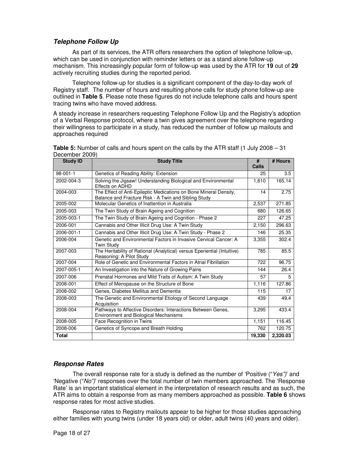# **Telephone Follow Up**

As part of its services, the ATR offers researchers the option of telephone follow-up, which can be used in conjunction with reminder letters or as a stand alone follow-up mechanism. This increasingly popular form of follow-up was used by the ATR for **19** out of **29** actively recruiting studies during the reported period.

Telephone follow-up for studies is a significant component of the day-to-day work of Registry staff. The number of hours and resulting phone calls for study phone follow-up are outlined in **Table 5**. Please note these figures do not include telephone calls and hours spent tracing twins who have moved address.

A steady increase in researchers requesting Telephone Follow Up and the Registry's adoption of a Verbal Response protocol, where a twin gives agreement over the telephone regarding their willingness to participate in a study, has reduced the number of follow up mailouts and approaches required

| <b>Study ID</b> | <b>Study Title</b>                                                                                                        | #            | # Hours  |
|-----------------|---------------------------------------------------------------------------------------------------------------------------|--------------|----------|
|                 |                                                                                                                           | <b>Calls</b> |          |
| $98 - 001 - 1$  | Genetics of Reading Ability: Extension                                                                                    | 25           | 3.5      |
| 2002-004-3      | Solving the Jigsaw! Understanding Biological and Environmental<br>Effects on ADHD                                         | 1,610        | 165.14   |
| 2004-003        | The Effect of Anti-Epileptic Medications on Bone Mineral Density,<br>Balance and Fracture Risk - A Twin and Sibling Study | 14           | 2.75     |
| 2005-002        | Molecular Genetics of Inattention in Australia                                                                            | 2,537        | 271.85   |
| 2005-003        | The Twin Study of Brain Ageing and Cognition                                                                              | 680          | 126.65   |
| 2005-003-1      | The Twin Study of Brain Ageing and Cognition - Phase 2                                                                    | 227          | 47.25    |
| 2006-001        | Cannabis and Other Illicit Drug Use: A Twin Study                                                                         | 2,150        | 296.63   |
| 2006-001-1      | Cannabis and Other Illicit Drug Use: A Twin Study - Phase 2                                                               | 146          | 25.35    |
| 2006-004        | Genetic and Environmental Factors in Invasive Cervical Cancer: A<br><b>Twin Study</b>                                     | 3,355        | 302.4    |
| 2007-003        | The Heritability of Rational (Analytical) versus Eperiential (Intuitive)<br>Reasoning: A Pilot Study                      | 785          | 85.5     |
| 2007-004        | Role of Genetic and Environmental Factors in Atrial Fibrillation                                                          | 722          | 96.75    |
| 2007-005-1      | An Investigation into the Nature of Growing Pains                                                                         | 144          | 26.4     |
| 2007-006        | Prenatal Hormones and Mild Traits of Autism: A Twin Study                                                                 | 57           | 5        |
| 2008-001        | Effect of Menopause on the Structure of Bone                                                                              | 1,116        | 127.86   |
| 2008-002        | Genes, Diabetes Mellitus and Dementia                                                                                     | 115          | 17       |
| 2008-003        | The Genetic and Environmental Etiology of Second Language<br>Acquisition                                                  | 439          | 49.4     |
| 2008-004        | Pathways to Affective Disorders: Interactions Between Genes,<br><b>Environment and Biological Mechanisms</b>              | 3.295        | 433.4    |
| 2008-005        | Face Recognition in Twins                                                                                                 | 1,151        | 116.45   |
| 2008-006        | Genetics of Syncope and Breath Holding                                                                                    | 762          | 120.75   |
| <b>Total</b>    |                                                                                                                           | 19,330       | 2.320.03 |

**Table 5:** Number of calls and hours spent on the calls by the ATR staff (1 July 2008 – 31 December 2009)

# **Response Rates**

The overall response rate for a study is defined as the number of 'Positive ("Yes")' and 'Negative ("No")' responses over the total number of twin members approached. The 'Response Rate' is an important statistical element in the interpretation of research results and as such, the ATR aims to obtain a response from as many members approached as possible. **Table 6** shows response rates for most active studies.

Response rates to Registry mailouts appear to be higher for those studies approaching either families with young twins (under 18 years old) or older, adult twins (40 years and older).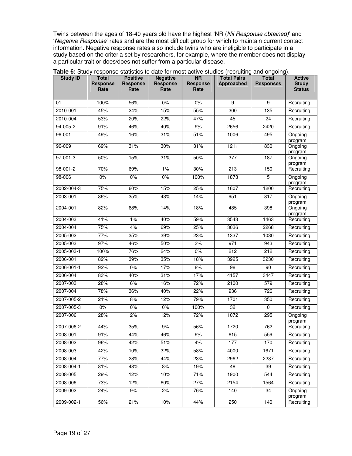Twins between the ages of 18-40 years old have the highest 'NR (Nil Response obtained)' and 'Negative Response' rates and are the most difficult group for which to maintain current contact information. Negative response rates also include twins who are ineligible to participate in a study based on the criteria set by researchers, for example, where the member does not display a particular trait or does/does not suffer from a particular disease.

| <b>Study ID</b> | Total<br>Response<br>Rate | <b>Positive</b><br>Response<br>Rate | <b>Negative</b><br>Response<br>Rate | <b>NR</b><br>Response<br>Rate | <b>Total Pairs</b><br>Approached | <b>Total</b><br><b>Responses</b> | <b>Active</b><br><b>Study</b><br><b>Status</b> |
|-----------------|---------------------------|-------------------------------------|-------------------------------------|-------------------------------|----------------------------------|----------------------------------|------------------------------------------------|
| 01              | 100%                      | 56%                                 | 0%                                  | 0%                            | 9                                | 9                                | Recruiting                                     |
| 2010-001        | 45%                       | 24%                                 | 15%                                 | 55%                           | 300                              | 135                              | Recruiting                                     |
| 2010-004        | 53%                       | 20%                                 | 22%                                 | 47%                           | 45                               | 24                               | Recruiting                                     |
| 94-005-2        | 91%                       | 46%                                 | 40%                                 | 9%                            | 2656                             | 2420                             | Recruiting                                     |
| 96-001          | 49%                       | 16%                                 | 31%                                 | 51%                           | 1006                             | 495                              | Ongoing<br>program                             |
| 96-009          | 69%                       | 31%                                 | 30%                                 | 31%                           | 1211                             | 830                              | Ongoing<br>program                             |
| 97-001-3        | 50%                       | 15%                                 | 31%                                 | 50%                           | 377                              | 187                              | Ongoing<br>program                             |
| 98-001-2        | 70%                       | 69%                                 | 1%                                  | 30%                           | 213                              | 150                              | Recruiting                                     |
| 98-006          | 0%                        | 0%                                  | 0%                                  | 100%                          | 1873                             | 5                                | Ongoing<br>program                             |
| 2002-004-3      | 75%                       | 60%                                 | 15%                                 | 25%                           | 1607                             | 1200                             | Recruiting                                     |
| 2003-001        | 86%                       | 35%                                 | 43%                                 | 14%                           | 951                              | 817                              | Ongoing<br>program                             |
| 2004-001        | 82%                       | 68%                                 | 14%                                 | 18%                           | 485                              | 398                              | Ongoing<br>program                             |
| 2004-003        | 41%                       | 1%                                  | 40%                                 | 59%                           | 3543                             | 1463                             | Recruiting                                     |
| 2004-004        | 75%                       | 4%                                  | 69%                                 | 25%                           | 3036                             | 2268                             | Recruiting                                     |
| 2005-002        | 77%                       | 35%                                 | 39%                                 | 23%                           | 1337                             | 1030                             | Recruiting                                     |
| 2005-003        | 97%                       | 46%                                 | 50%                                 | 3%                            | 971                              | 943                              | Recruiting                                     |
| 2005-003-1      | 100%                      | 76%                                 | 24%                                 | $0\%$                         | 212                              | 212                              | Recruiting                                     |
| 2006-001        | 82%                       | 39%                                 | 35%                                 | 18%                           | 3925                             | 3230                             | Recruiting                                     |
| 2006-001-1      | 92%                       | 0%                                  | 17%                                 | 8%                            | 98                               | 90                               | Recruiting                                     |
| 2006-004        | 83%                       | 40%                                 | 31%                                 | 17%                           | 4157                             | 3447                             | Recruiting                                     |
| 2007-003        | 28%                       | 6%                                  | 16%                                 | 72%                           | 2100                             | 579                              | Recruiting                                     |
| 2007-004        | 78%                       | 36%                                 | 40%                                 | 22%                           | 936                              | 726                              | Recruiting                                     |
| 2007-005-2      | 21%                       | 8%                                  | 12%                                 | 79%                           | 1701                             | 350                              | Recruiting                                     |
| 2007-005-3      | 0%                        | $0\%$                               | $0\%$                               | 100%                          | $\overline{32}$                  | $\Omega$                         | Recruiting                                     |
| 2007-006        | 28%                       | 2%                                  | 12%                                 | 72%                           | 1072                             | 295                              | Ongoing<br>program                             |
| 2007-006-2      | 44%                       | 35%                                 | 9%                                  | 56%                           | 1720                             | 762                              | Recruiting                                     |
| 2008-001        | 91%                       | 44%                                 | 46%                                 | 9%                            | 615                              | 559                              | Recruiting                                     |
| 2008-002        | 96%                       | 42%                                 | 51%                                 | 4%                            | 177                              | 170                              | Recruiting                                     |
| 2008-003        | 42%                       | 10%                                 | 32%                                 | 58%                           | 4000                             | 1671                             | Recruiting                                     |
| 2008-004        | 77%                       | 28%                                 | 44%                                 | 23%                           | 2962                             | 2287                             | Recruiting                                     |
| 2008-004-1      | 81%                       | 48%                                 | 8%                                  | 19%                           | 48                               | 39                               | Recruiting                                     |
| 2008-005        | 29%                       | $\frac{1}{12%}$                     | 10%                                 | 71%                           | 1900                             | 544                              | Recruiting                                     |
| 2008-006        | 73%                       | 12%                                 | 60%                                 | 27%                           | 2154                             | 1564                             | Recruiting                                     |
| 2009-002        | 24%                       | 9%                                  | 2%                                  | 76%                           | 140                              | $\overline{34}$                  | Ongoing<br>program                             |
| 2009-002-1      | 56%                       | 21%                                 | 10%                                 | 44%                           | 250                              | 140                              | Recruiting                                     |

**Table 6:** Study response statistics to date for most active studies (recruiting and ongoing).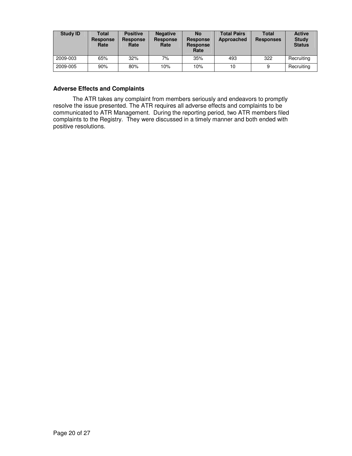| <b>Study ID</b> | Total<br><b>Response</b><br>Rate | <b>Positive</b><br><b>Response</b><br>Rate | <b>Negative</b><br><b>Response</b><br>Rate | <b>No</b><br><b>Response</b><br><b>Response</b><br>Rate | <b>Total Pairs</b><br>Approached | <b>Total</b><br><b>Responses</b> | <b>Active</b><br><b>Study</b><br><b>Status</b> |
|-----------------|----------------------------------|--------------------------------------------|--------------------------------------------|---------------------------------------------------------|----------------------------------|----------------------------------|------------------------------------------------|
| 2009-003        | 65%                              | 32%                                        | 7%                                         | 35%                                                     | 493                              | 322                              | Recruiting                                     |
| 2009-005        | 90%                              | 80%                                        | 10%                                        | 10%                                                     | 10                               | 9                                | Recruiting                                     |

### **Adverse Effects and Complaints**

The ATR takes any complaint from members seriously and endeavors to promptly resolve the issue presented. The ATR requires all adverse effects and complaints to be communicated to ATR Management. During the reporting period, two ATR members filed complaints to the Registry. They were discussed in a timely manner and both ended with positive resolutions.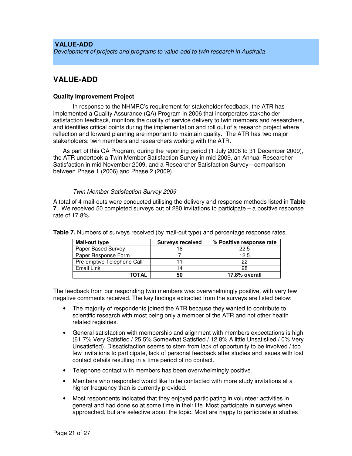# **VALUE-ADD**  Development of projects and programs to value-add to twin research in Australia

# **VALUE-ADD**

### **Quality Improvement Project**

In response to the NHMRC's requirement for stakeholder feedback, the ATR has implemented a Quality Assurance (QA) Program in 2006 that incorporates stakeholder satisfaction feedback, monitors the quality of service delivery to twin members and researchers, and identifies critical points during the implementation and roll out of a research project where reflection and forward planning are important to maintain quality. The ATR has two major stakeholders: twin members and researchers working with the ATR.

As part of this QA Program, during the reporting period (1 July 2008 to 31 December 2009), the ATR undertook a Twin Member Satisfaction Survey in mid 2009, an Annual Researcher Satisfaction in mid November 2009, and a Researcher Satisfaction Survey—comparison between Phase 1 (2006) and Phase 2 (2009).

### Twin Member Satisfaction Survey 2009

A total of 4 mail-outs were conducted utilising the delivery and response methods listed in **Table 7**. We received 50 completed surveys out of 280 invitations to participate – a positive response rate of 17.8%.

| Mail-out type              | <b>Surveys received</b> | % Positive response rate |
|----------------------------|-------------------------|--------------------------|
| Paper Based Survey         |                         | 22.5                     |
| Paper Response Form        |                         | 12.5                     |
| Pre-emptive Telephone Call |                         | 22                       |
| Email Link                 | 14                      | 28                       |
| ΤΟΤΑL                      | 50                      | 17.8% overall            |

**Table 7.** Numbers of surveys received (by mail-out type) and percentage response rates.

The feedback from our responding twin members was overwhelmingly positive, with very few negative comments received. The key findings extracted from the surveys are listed below:

- The majority of respondents joined the ATR because they wanted to contribute to scientific research with most being only a member of the ATR and not other health related registries.
- General satisfaction with membership and alignment with members expectations is high (61.7% Very Satisfied / 25.5% Somewhat Satisfied / 12.8% A little Unsatisfied / 0% Very Unsatisfied). Dissatisfaction seems to stem from lack of opportunity to be involved / too few invitations to participate, lack of personal feedback after studies and issues with lost contact details resulting in a time period of no contact.
- Telephone contact with members has been overwhelmingly positive.
- Members who responded would like to be contacted with more study invitations at a higher frequency than is currently provided.
- Most respondents indicated that they enjoyed participating in volunteer activities in general and had done so at some time in their life. Most participate in surveys when approached, but are selective about the topic. Most are happy to participate in studies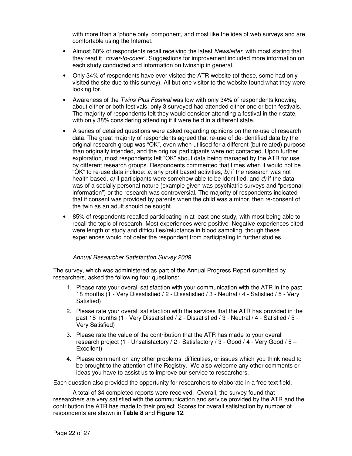with more than a 'phone only' component, and most like the idea of web surveys and are comfortable using the Internet.

- Almost 60% of respondents recall receiving the latest *Newsletter*, with most stating that they read it "cover-to-cover". Suggestions for improvement included more information on each study conducted and information on twinship in general.
- Only 34% of respondents have ever visited the ATR website (of these, some had only visited the site due to this survey). All but one visitor to the website found what they were looking for.
- Awareness of the Twins Plus Festival was low with only 34% of respondents knowing about either or both festivals; only 3 surveyed had attended either one or both festivals. The majority of respondents felt they would consider attending a festival in their state, with only 38% considering attending if it were held in a different state.
- A series of detailed questions were asked regarding opinions on the re-use of research data. The great majority of respondents agreed that re-use of de-identified data by the original research group was "OK", even when utilised for a different (but related) purpose than originally intended, and the original participants were not contacted. Upon further exploration, most respondents felt "OK" about data being managed by the ATR for use by different research groups. Respondents commented that times when it would not be "OK" to re-use data include:  $a$ ) any profit based activities,  $b$ ) if the research was not health based,  $c$ ) if participants were somehow able to be identified, and  $d$ ) if the data was of a socially personal nature (example given was psychiatric surveys and "personal information") or the research was controversial. The majority of respondents indicated that if consent was provided by parents when the child was a minor, then re-consent of the twin as an adult should be sought.
- 85% of respondents recalled participating in at least one study, with most being able to recall the topic of research. Most experiences were positive. Negative experiences cited were length of study and difficulties/reluctance in blood sampling, though these experiences would not deter the respondent from participating in further studies.

#### Annual Researcher Satisfaction Survey 2009

The survey, which was administered as part of the Annual Progress Report submitted by researchers, asked the following four questions:

- 1. Please rate your overall satisfaction with your communication with the ATR in the past 18 months (1 - Very Dissatisfied / 2 - Dissatisfied / 3 - Neutral / 4 - Satisfied / 5 - Very Satisfied)
- 2. Please rate your overall satisfaction with the services that the ATR has provided in the past 18 months (1 - Very Dissatisfied / 2 - Dissatisfied / 3 - Neutral / 4 - Satisfied / 5 - Very Satisfied)
- 3. Please rate the value of the contribution that the ATR has made to your overall research project (1 - Unsatisfactory / 2 - Satisfactory / 3 - Good / 4 - Very Good /  $5 -$ Excellent)
- 4. Please comment on any other problems, difficulties, or issues which you think need to be brought to the attention of the Registry. We also welcome any other comments or ideas you have to assist us to improve our service to researchers.

Each question also provided the opportunity for researchers to elaborate in a free text field.

A total of 34 completed reports were received. Overall, the survey found that researchers are very satisfied with the communication and service provided by the ATR and the contribution the ATR has made to their project. Scores for overall satisfaction by number of respondents are shown in **Table 8** and **Figure 12**.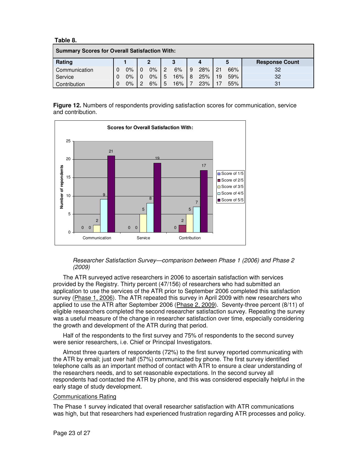**Table 8.** 

| <b>Summary Scores for Overall Satisfaction With:</b> |   |       |  |                |   |     |   |     |    |     |                       |
|------------------------------------------------------|---|-------|--|----------------|---|-----|---|-----|----|-----|-----------------------|
| Rating                                               |   |       |  | $\overline{2}$ |   | 3   |   |     |    | 5   | <b>Response Count</b> |
| Communication                                        |   | $0\%$ |  | $0\%$          | 2 | 6%  | 9 | 28% | 21 | 66% | 32                    |
| Service                                              | 0 | $0\%$ |  | 0%             | 5 | 16% | 8 | 25% | 19 | 59% | 32                    |
| Contribution                                         |   | $0\%$ |  | 6%             | 5 | 16% |   | 23% |    | 55% | 31                    |

**Figure 12.** Numbers of respondents providing satisfaction scores for communication, service and contribution.



Researcher Satisfaction Survey—comparison between Phase 1 (2006) and Phase 2 (2009)

The ATR surveyed active researchers in 2006 to ascertain satisfaction with services provided by the Registry. Thirty percent (47/156) of researchers who had submitted an application to use the services of the ATR prior to September 2006 completed this satisfaction survey (Phase 1, 2006). The ATR repeated this survey in April 2009 with new researchers who applied to use the ATR after September 2006 (Phase 2, 2009). Seventy-three percent (8/11) of eligible researchers completed the second researcher satisfaction survey. Repeating the survey was a useful measure of the change in researcher satisfaction over time, especially considering the growth and development of the ATR during that period.

Half of the respondents to the first survey and 75% of respondents to the second survey were senior researchers, i.e. Chief or Principal Investigators.

Almost three quarters of respondents (72%) to the first survey reported communicating with the ATR by email; just over half (57%) communicated by phone. The first survey identified telephone calls as an important method of contact with ATR to ensure a clear understanding of the researchers needs, and to set reasonable expectations. In the second survey all respondents had contacted the ATR by phone, and this was considered especially helpful in the early stage of study development.

#### Communications Rating

The Phase 1 survey indicated that overall researcher satisfaction with ATR communications was high, but that researchers had experienced frustration regarding ATR processes and policy.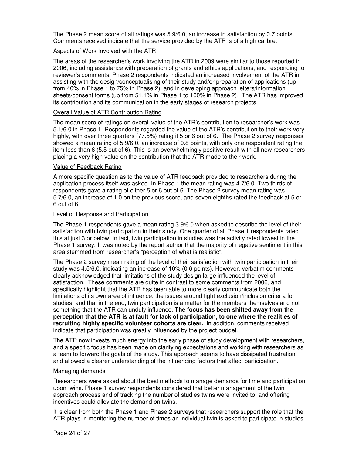The Phase 2 mean score of all ratings was 5.9/6.0, an increase in satisfaction by 0.7 points. Comments received indicate that the service provided by the ATR is of a high calibre.

### Aspects of Work Involved with the ATR

The areas of the researcher's work involving the ATR in 2009 were similar to those reported in 2006, including assistance with preparation of grants and ethics applications, and responding to reviewer's comments. Phase 2 respondents indicated an increased involvement of the ATR in assisting with the design/conceptualising of their study and/or preparation of applications (up from 40% in Phase 1 to 75% in Phase 2), and in developing approach letters/information sheets/consent forms (up from 51.1% in Phase 1 to 100% in Phase 2). The ATR has improved its contribution and its communication in the early stages of research projects.

### Overall Value of ATR Contribution Rating

The mean score of ratings on overall value of the ATR's contribution to researcher's work was 5.1/6.0 in Phase 1. Respondents regarded the value of the ATR's contribution to their work very highly, with over three quarters (77.5%) rating it 5 or 6 out of 6. The Phase 2 survey responses showed a mean rating of 5.9/6.0, an increase of 0.8 points, with only one respondent rating the item less than 6 (5.5 out of 6). This is an overwhelmingly positive result with all new researchers placing a very high value on the contribution that the ATR made to their work.

### Value of Feedback Rating

A more specific question as to the value of ATR feedback provided to researchers during the application process itself was asked. In Phase 1 the mean rating was 4.7/6.0. Two thirds of respondents gave a rating of either 5 or 6 out of 6. The Phase 2 survey mean rating was 5.7/6.0, an increase of 1.0 on the previous score, and seven eighths rated the feedback at 5 or 6 out of 6.

#### Level of Response and Participation

The Phase 1 respondents gave a mean rating 3.9/6.0 when asked to describe the level of their satisfaction with twin participation in their study. One quarter of all Phase 1 respondents rated this at just 3 or below. In fact, twin participation in studies was the activity rated lowest in the Phase 1 survey. It was noted by the report author that the majority of negative sentiment in this area stemmed from researcher's "perception of what is realistic".

The Phase 2 survey mean rating of the level of their satisfaction with twin participation in their study was 4.5/6.0, indicating an increase of 10% (0.6 points). However, verbatim comments clearly acknowledged that limitations of the study design large influenced the level of satisfaction. These comments are quite in contrast to some comments from 2006, and specifically highlight that the ATR has been able to more clearly communicate both the limitations of its own area of influence, the issues around tight exclusion/inclusion criteria for studies, and that in the end, twin participation is a matter for the members themselves and not something that the ATR can unduly influence. **The focus has been shifted away from the perception that the ATR is at fault for lack of participation, to one where the realities of recruiting highly specific volunteer cohorts are clear.** In addition, comments received indicate that participation was greatly influenced by the project budget.

The ATR now invests much energy into the early phase of study development with researchers, and a specific focus has been made on clarifying expectations and working with researchers as a team to forward the goals of the study. This approach seems to have dissipated frustration, and allowed a clearer understanding of the influencing factors that affect participation.

#### Managing demands

Researchers were asked about the best methods to manage demands for time and participation upon twins. Phase 1 survey respondents considered that better management of the twin approach process and of tracking the number of studies twins were invited to, and offering incentives could alleviate the demand on twins.

It is clear from both the Phase 1 and Phase 2 surveys that researchers support the role that the ATR plays in monitoring the number of times an individual twin is asked to participate in studies.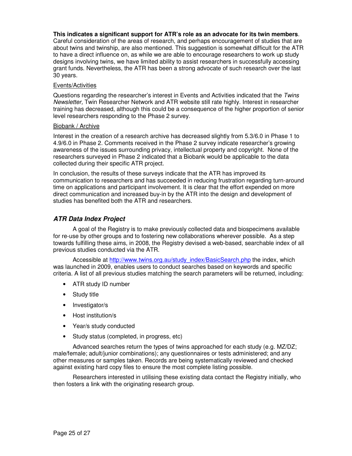#### **This indicates a significant support for ATR's role as an advocate for its twin members**.

Careful consideration of the areas of research, and perhaps encouragement of studies that are about twins and twinship, are also mentioned. This suggestion is somewhat difficult for the ATR to have a direct influence on, as while we are able to encourage researchers to work up study designs involving twins, we have limited ability to assist researchers in successfully accessing grant funds. Nevertheless, the ATR has been a strong advocate of such research over the last 30 years.

#### Events/Activities

Questions regarding the researcher's interest in Events and Activities indicated that the Twins Newsletter, Twin Researcher Network and ATR website still rate highly. Interest in researcher training has decreased, although this could be a consequence of the higher proportion of senior level researchers responding to the Phase 2 survey.

#### Biobank / Archive

Interest in the creation of a research archive has decreased slightly from 5.3/6.0 in Phase 1 to 4.9/6.0 in Phase 2. Comments received in the Phase 2 survey indicate researcher's growing awareness of the issues surrounding privacy, intellectual property and copyright. None of the researchers surveyed in Phase 2 indicated that a Biobank would be applicable to the data collected during their specific ATR project.

In conclusion, the results of these surveys indicate that the ATR has improved its communication to researchers and has succeeded in reducing frustration regarding turn-around time on applications and participant involvement. It is clear that the effort expended on more direct communication and increased buy-in by the ATR into the design and development of studies has benefited both the ATR and researchers.

# **ATR Data Index Project**

A goal of the Registry is to make previously collected data and biospecimens available for re-use by other groups and to fostering new collaborations wherever possible. As a step towards fulfilling these aims, in 2008, the Registry devised a web-based, searchable index of all previous studies conducted via the ATR.

Accessible at http://www.twins.org.au/study\_index/BasicSearch.php the index, which was launched in 2009, enables users to conduct searches based on keywords and specific criteria. A list of all previous studies matching the search parameters will be returned, including:

- ATR study ID number
- Study title
- Investigator/s
- Host institution/s
- Year/s study conducted
- Study status (completed, in progress, etc)

Advanced searches return the types of twins approached for each study (e.g. MZ/DZ; male/female; adult/junior combinations); any questionnaires or tests administered; and any other measures or samples taken. Records are being systematically reviewed and checked against existing hard copy files to ensure the most complete listing possible.

Researchers interested in utilising these existing data contact the Registry initially, who then fosters a link with the originating research group.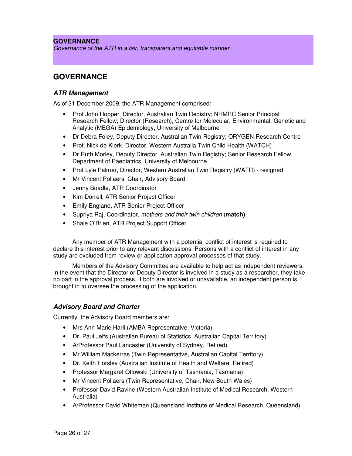# **GOVERNANCE**

Governance of the ATR in a fair, transparent and equitable manner

# **GOVERNANCE**

### **ATR Management**

As of 31 December 2009, the ATR Management comprised:

- Prof John Hopper, Director, Australian Twin Registry; NHMRC Senior Principal Research Fellow; Director (Research), Centre for Molecular, Environmental, Genetic and Analytic (MEGA) Epidemiology, University of Melbourne
- Dr Debra Foley, Deputy Director, Australian Twin Registry; ORYGEN Research Centre
- Prof. Nick de Klerk, Director, Western Australia Twin Child Health (WATCH)
- Dr Ruth Morley, Deputy Director, Australian Twin Registry; Senior Research Fellow, Department of Paediatrics, University of Melbourne
- Prof Lyle Palmer, Director, Western Australian Twin Registry (WATR) resigned
- Mr Vincent Pollaers, Chair, Advisory Board
- Jenny Boadle, ATR Coordinator
- Kim Dorrell, ATR Senior Project Officer
- Emily England, ATR Senior Project Officer
- Supriya Raj, Coordinator, mothers and their twin children (**match)**
- Shaie O'Brien, ATR Project Support Officer

Any member of ATR Management with a potential conflict of interest is required to declare this interest prior to any relevant discussions. Persons with a conflict of interest in any study are excluded from review or application approval processes of that study.

Members of the Advisory Committee are available to help act as independent reviewers. In the event that the Director or Deputy Director is involved in a study as a researcher, they take no part in the approval process. If both are involved or unavailable, an independent person is brought in to oversee the processing of the application.

### **Advisory Board and Charter**

Currently, the Advisory Board members are:

- Mrs Ann Marie Harli (AMBA Representative, Victoria)
- Dr. Paul Jelfs (Australian Bureau of Statistics, Australian Capital Territory)
- A/Professor Paul Lancaster (University of Sydney, Retired)
- Mr William Mackerras (Twin Representative, Australian Capital Territory)
- Dr. Keith Horsley (Australian Institute of Health and Welfare, Retired)
- Professor Margaret Otlowski (University of Tasmania, Tasmania)
- Mr Vincent Pollaers (Twin Representative, Chair, New South Wales)
- Professor David Ravine (Western Australian Institute of Medical Research, Western Australia)
- A/Professor David Whiteman (Queensland Institute of Medical Research, Queensland)